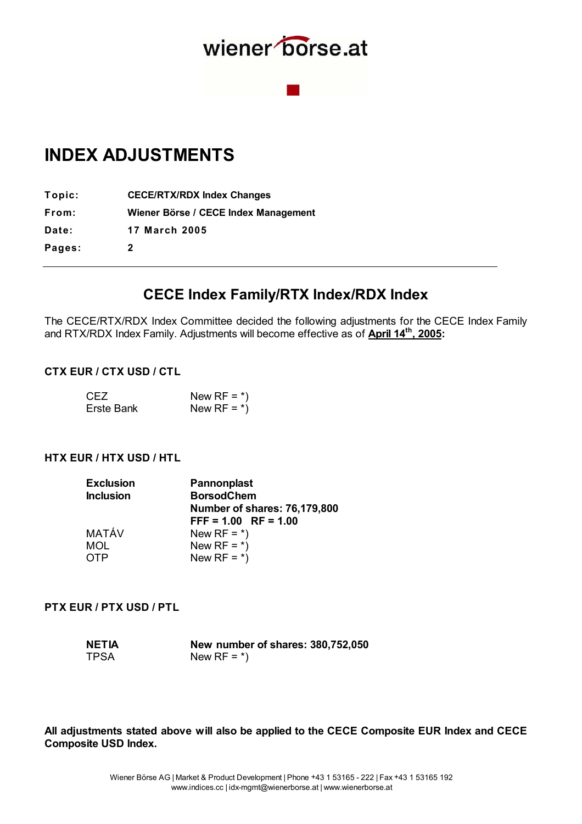

## **INDEX ADJUSTMENTS**

**T opic: CECE/RTX/RDX Index Changes x From: Wiener Börse / CECE Index Management x Date: 17 March 2005 Pages: 2** 

### **CECE Index Family/RTX Index/RDX Index**

The CECE/RTX/RDX Index Committee decided the following adjustments for the CECE Index Family and RTX/RDX Index Family. Adjustments will become effective as of **April 14th, 2005:**

#### **CTX EUR / CTX USD / CTL**

| CEZ               | New RF = $\ast$ ) |
|-------------------|-------------------|
| <b>Erste Bank</b> | New RF = $\ast$ ) |

#### **HTX EUR / HTX USD / HTL**

| Pannonplast                  |
|------------------------------|
| <b>BorsodChem</b>            |
| Number of shares: 76,179,800 |
| $FFF = 1.00$ RF = 1.00       |
| New RF = $*$ )               |
| New RF = $*$ )               |
| New RF = $*$ )               |
|                              |

#### **PTX EUR / PTX USD / PTL**

| <b>NETIA</b> | New number of shares: 380,752,050 |
|--------------|-----------------------------------|
| <b>TPSA</b>  | New RF = $\ast$ )                 |

**All adjustments stated above will also be applied to the CECE Composite EUR Index and CECE Composite USD Index.**